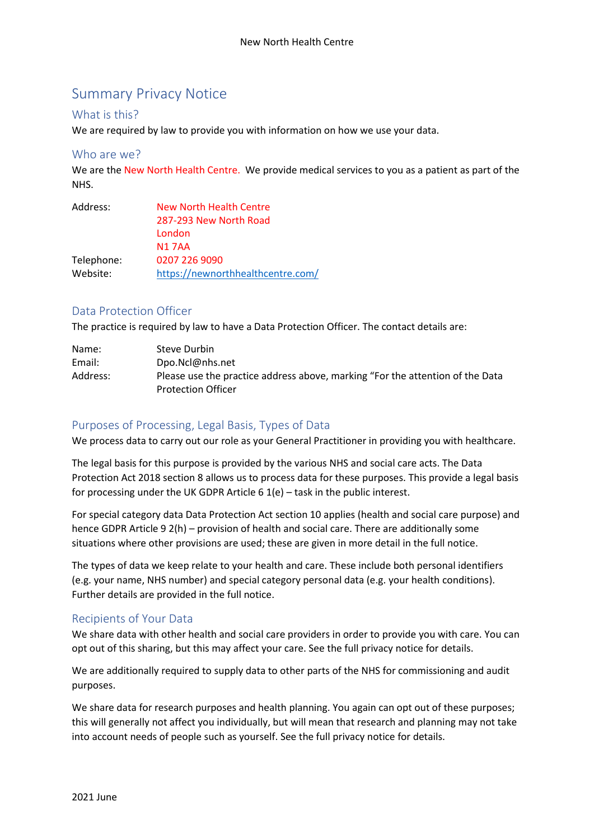# Summary Privacy Notice

#### What is this?

We are required by law to provide you with information on how we use your data.

#### Who are we?

We are the New North Health Centre. We provide medical services to you as a patient as part of the NHS.

| Address:   | New North Health Centre           |
|------------|-----------------------------------|
|            | 287-293 New North Road            |
|            | London                            |
|            | <b>N17AA</b>                      |
| Telephone: | 0207 226 9090                     |
| Website:   | https://newnorthhealthcentre.com/ |

# Data Protection Officer

The practice is required by law to have a Data Protection Officer. The contact details are:

| Name:    | Steve Durbin                                                                                               |
|----------|------------------------------------------------------------------------------------------------------------|
| Email:   | Dpo.Ncl@nhs.net                                                                                            |
| Address: | Please use the practice address above, marking "For the attention of the Data<br><b>Protection Officer</b> |

# Purposes of Processing, Legal Basis, Types of Data

We process data to carry out our role as your General Practitioner in providing you with healthcare.

The legal basis for this purpose is provided by the various NHS and social care acts. The Data Protection Act 2018 section 8 allows us to process data for these purposes. This provide a legal basis for processing under the UK GDPR Article 6 1(e) – task in the public interest.

For special category data Data Protection Act section 10 applies (health and social care purpose) and hence GDPR Article 9 2(h) – provision of health and social care. There are additionally some situations where other provisions are used; these are given in more detail in the full notice.

The types of data we keep relate to your health and care. These include both personal identifiers (e.g. your name, NHS number) and special category personal data (e.g. your health conditions). Further details are provided in the full notice.

# Recipients of Your Data

We share data with other health and social care providers in order to provide you with care. You can opt out of this sharing, but this may affect your care. See the full privacy notice for details.

We are additionally required to supply data to other parts of the NHS for commissioning and audit purposes.

We share data for research purposes and health planning. You again can opt out of these purposes; this will generally not affect you individually, but will mean that research and planning may not take into account needs of people such as yourself. See the full privacy notice for details.